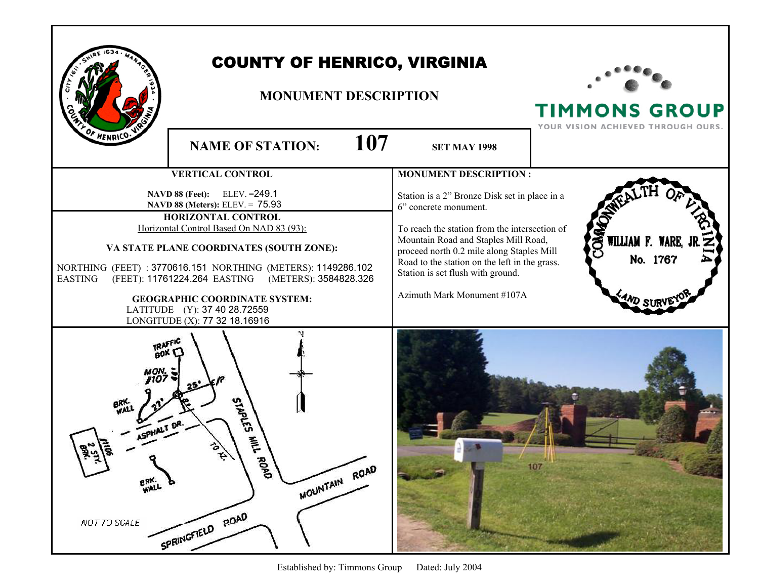| OF HENRICO                                     | <b>COUNTY OF HENRICO, VIRGINIA</b><br><b>MONUMENT DESCRIPTION</b>                                                                                                                                                                                                                                                                                                                                                    | <b>TIMMONS GROUP</b><br>YOUR VISION ACHIEVED THROUGH OURS.                                                                                                                                                                                                                                                                        |                                        |
|------------------------------------------------|----------------------------------------------------------------------------------------------------------------------------------------------------------------------------------------------------------------------------------------------------------------------------------------------------------------------------------------------------------------------------------------------------------------------|-----------------------------------------------------------------------------------------------------------------------------------------------------------------------------------------------------------------------------------------------------------------------------------------------------------------------------------|----------------------------------------|
|                                                | 107<br><b>NAME OF STATION:</b>                                                                                                                                                                                                                                                                                                                                                                                       | <b>SET MAY 1998</b>                                                                                                                                                                                                                                                                                                               |                                        |
|                                                | <b>VERTICAL CONTROL</b>                                                                                                                                                                                                                                                                                                                                                                                              | <b>MONUMENT DESCRIPTION:</b>                                                                                                                                                                                                                                                                                                      |                                        |
| <b>EASTING</b>                                 | NAVD 88 (Feet): ELEV. = 249.1<br>NAVD 88 (Meters): ELEV. = 75.93<br><b>HORIZONTAL CONTROL</b><br>Horizontal Control Based On NAD 83 (93):<br>VA STATE PLANE COORDINATES (SOUTH ZONE):<br>NORTHING (FEET) : 3770616.151 NORTHING (METERS): 1149286.102<br>(FEET): 11761224.264 EASTING (METERS): 3584828.326<br><b>GEOGRAPHIC COORDINATE SYSTEM:</b><br>LATITUDE (Y): 37 40 28.72559<br>LONGITUDE (X): 77 32 18.16916 | Station is a 2" Bronze Disk set in place in a<br>6" concrete monument.<br>To reach the station from the intersection of<br>Mountain Road and Staples Mill Road,<br>proceed north 0.2 mile along Staples Mill<br>Road to the station on the left in the grass.<br>Station is set flush with ground.<br>Azimuth Mark Monument #107A | OMAG<br>WILLIAM F. WARE, J<br>No. 1767 |
| $\ddot{\cdot}$<br>BRK.<br>WALL<br>NOT TO SCALE | <b>STAPLES</b><br>톧<br>ROAD<br>MOUNTAIN ROAD<br>SPRINGFIELD POAD                                                                                                                                                                                                                                                                                                                                                     |                                                                                                                                                                                                                                                                                                                                   | 107                                    |